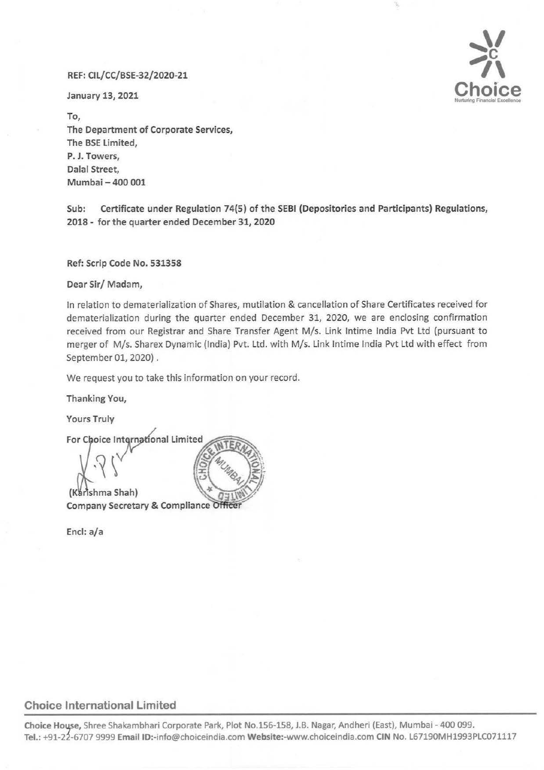## REF: Cll/CC/BSE-32/2020-21

January 13, 2021



To, The Department of Corporate Services, The SSE limited, P. J. Towers, Dalal Street, Mumbai - 400 001

Sub: Certificate under Regulation 74(5) of the SEBI (Depositories and Participants) Regulations, 2018- for the quarter ended December 31, 2020

Ref: Scrip Code No. 531358

Dear Sir/ Madam,

In relation to dematerialization of Shares, mutilation & cancellation of Share Certificates received for dematerialization during the quarter ended December 31, 2020, we are enclosing confirmation received from our Registrar and Share Transfer Agent M/s. Link lntime India Pvt Ltd (pursuant to merger of M/s. Sharex Dynamic (India) Pvt. Ltd. with M/s. Link lntime India Pvt Ltd with effect from September 01, 2020) .

We request you to take this information on your record.

Thanking You,

**Yours Truly** 

For Choice International Limited (Karishma Shah) **Company Secretary & Compliance Office** 

Encl: a/a

## Choice International Limited

Choice House, Shree Shakambhari Corporate Park, Plot No.156-158, J.B. Nagar, Andheri (East), Mumbai - 400 099. Tel.: +91-22-6707 9999 Email ID:-info@choiceindia.com Website:-www.choiceindia.com CIN No. L67190MH1993PLC071117